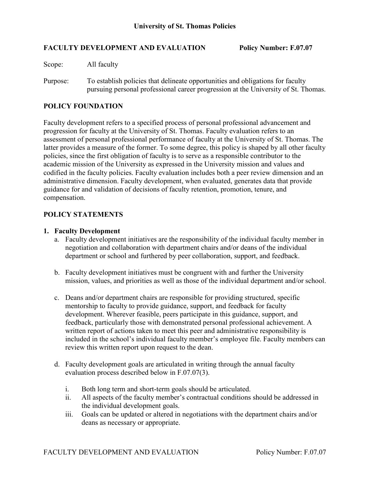#### **FACULTY DEVELOPMENT AND EVALUATION Policy Number: F.07.07**

Scope: All faculty

Purpose: To establish policies that delineate opportunities and obligations for faculty pursuing personal professional career progression at the University of St. Thomas.

# **POLICY FOUNDATION**

Faculty development refers to a specified process of personal professional advancement and progression for faculty at the University of St. Thomas. Faculty evaluation refers to an assessment of personal professional performance of faculty at the University of St. Thomas. The latter provides a measure of the former. To some degree, this policy is shaped by all other faculty policies, since the first obligation of faculty is to serve as a responsible contributor to the academic mission of the University as expressed in the University mission and values and codified in the faculty policies. Faculty evaluation includes both a peer review dimension and an administrative dimension. Faculty development, when evaluated, generates data that provide guidance for and validation of decisions of faculty retention, promotion, tenure, and compensation.

## **POLICY STATEMENTS**

#### **1. Faculty Development**

- a. Faculty development initiatives are the responsibility of the individual faculty member in negotiation and collaboration with department chairs and/or deans of the individual department or school and furthered by peer collaboration, support, and feedback.
- b. Faculty development initiatives must be congruent with and further the University mission, values, and priorities as well as those of the individual department and/or school.
- c. Deans and/or department chairs are responsible for providing structured, specific mentorship to faculty to provide guidance, support, and feedback for faculty development. Wherever feasible, peers participate in this guidance, support, and feedback, particularly those with demonstrated personal professional achievement. A written report of actions taken to meet this peer and administrative responsibility is included in the school's individual faculty member's employee file. Faculty members can review this written report upon request to the dean.
- d. Faculty development goals are articulated in writing through the annual faculty evaluation process described below in F.07.07(3).
	- i. Both long term and short-term goals should be articulated.
	- ii. All aspects of the faculty member's contractual conditions should be addressed in the individual development goals.
	- iii. Goals can be updated or altered in negotiations with the department chairs and/or deans as necessary or appropriate.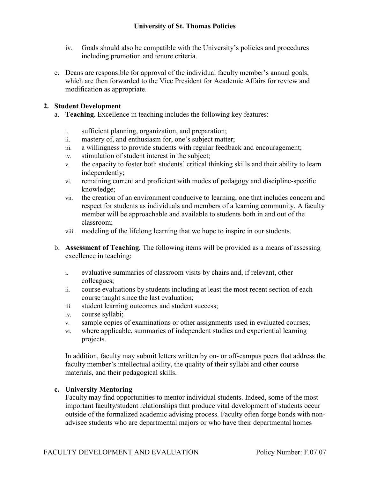- iv. Goals should also be compatible with the University's policies and procedures including promotion and tenure criteria.
- e. Deans are responsible for approval of the individual faculty member's annual goals, which are then forwarded to the Vice President for Academic Affairs for review and modification as appropriate.

# **2. Student Development**

- a. **Teaching.** Excellence in teaching includes the following key features:
	- i. sufficient planning, organization, and preparation;
	- ii. mastery of, and enthusiasm for, one's subject matter;
	- iii. a willingness to provide students with regular feedback and encouragement;
	- iv. stimulation of student interest in the subject;
	- v. the capacity to foster both students' critical thinking skills and their ability to learn independently;
	- vi. remaining current and proficient with modes of pedagogy and discipline-specific knowledge;
	- vii. the creation of an environment conducive to learning, one that includes concern and respect for students as individuals and members of a learning community. A faculty member will be approachable and available to students both in and out of the classroom;
	- viii. modeling of the lifelong learning that we hope to inspire in our students.
- b. **Assessment of Teaching.** The following items will be provided as a means of assessing excellence in teaching:
	- i. evaluative summaries of classroom visits by chairs and, if relevant, other colleagues;
	- ii. course evaluations by students including at least the most recent section of each course taught since the last evaluation;
	- iii. student learning outcomes and student success;
	- iv. course syllabi;
	- v. sample copies of examinations or other assignments used in evaluated courses;
	- vi. where applicable, summaries of independent studies and experiential learning projects.

In addition, faculty may submit letters written by on- or off-campus peers that address the faculty member's intellectual ability, the quality of their syllabi and other course materials, and their pedagogical skills.

#### **c. University Mentoring**

Faculty may find opportunities to mentor individual students. Indeed, some of the most important faculty/student relationships that produce vital development of students occur outside of the formalized academic advising process. Faculty often forge bonds with nonadvisee students who are departmental majors or who have their departmental homes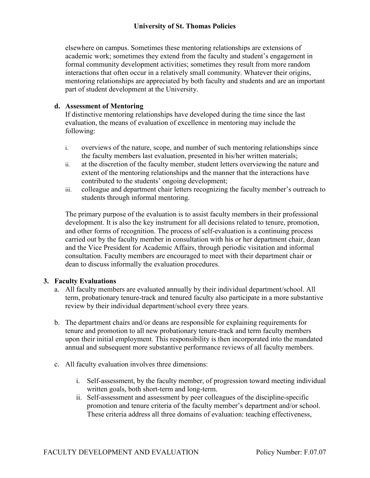elsewhere on campus. Sometimes these mentoring relationships are extensions of academic work; sometimes they extend from the faculty and student's engagement in formal community development activities; sometimes they result from more random interactions that often occur in a relatively small community. Whatever their origins, mentoring relationships are appreciated by both faculty and students and are an important part of student development at the University.

# **d. Assessment of Mentoring**

If distinctive mentoring relationships have developed during the time since the last evaluation, the means of evaluation of excellence in mentoring may include the following:

- i. overviews of the nature, scope, and number of such mentoring relationships since the faculty members last evaluation, presented in his/her written materials;
- ii. at the discretion of the faculty member, student letters overviewing the nature and extent of the mentoring relationships and the manner that the interactions have contributed to the students' ongoing development;
- iii. colleague and department chair letters recognizing the faculty member's outreach to students through informal mentoring.

The primary purpose of the evaluation is to assist faculty members in their professional development. It is also the key instrument for all decisions related to tenure, promotion, and other forms of recognition. The process of self-evaluation is a continuing process carried out by the faculty member in consultation with his or her department chair, dean and the Vice President for Academic Affairs, through periodic visitation and informal consultation. Faculty members are encouraged to meet with their department chair or dean to discuss informally the evaluation procedures.

## **3. Faculty Evaluations**

- a. All faculty members are evaluated annually by their individual department/school. All term, probationary tenure-track and tenured faculty also participate in a more substantive review by their individual department/school every three years.
- b. The department chairs and/or deans are responsible for explaining requirements for tenure and promotion to all new probationary tenure-track and term faculty members upon their initial employment. This responsibility is then incorporated into the mandated annual and subsequent more substantive performance reviews of all faculty members.
- c. All faculty evaluation involves three dimensions:
	- i. Self-assessment, by the faculty member, of progression toward meeting individual written goals, both short-term and long-term.
	- ii. Self-assessment and assessment by peer colleagues of the discipline-specific promotion and tenure criteria of the faculty member's department and/or school. These criteria address all three domains of evaluation: teaching effectiveness,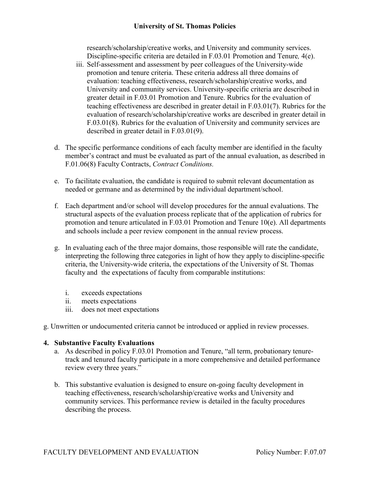## **University of St. Thomas Policies**

research/scholarship/creative works, and University and community services. Discipline-specific criteria are detailed in F.03.01 Promotion and Tenure*,* 4(e).

- iii. Self-assessment and assessment by peer colleagues of the University-wide promotion and tenure criteria. These criteria address all three domains of evaluation: teaching effectiveness, research/scholarship/creative works, and University and community services. University-specific criteria are described in greater detail in F.03.01 Promotion and Tenure. Rubrics for the evaluation of teaching effectiveness are described in greater detail in F.03.01(7). Rubrics for the evaluation of research/scholarship/creative works are described in greater detail in F.03.01(8). Rubrics for the evaluation of University and community services are described in greater detail in F.03.01(9).
- d. The specific performance conditions of each faculty member are identified in the faculty member's contract and must be evaluated as part of the annual evaluation, as described in F.01.06(8) Faculty Contracts, *Contract Conditions.*
- e. To facilitate evaluation, the candidate is required to submit relevant documentation as needed or germane and as determined by the individual department/school.
- f. Each department and/or school will develop procedures for the annual evaluations. The structural aspects of the evaluation process replicate that of the application of rubrics for promotion and tenure articulated in F.03.01 Promotion and Tenure 10(e). All departments and schools include a peer review component in the annual review process.
- g. In evaluating each of the three major domains, those responsible will rate the candidate, interpreting the following three categories in light of how they apply to discipline-specific criteria, the University-wide criteria, the expectations of the University of St. Thomas faculty and the expectations of faculty from comparable institutions:
	- i. exceeds expectations
	- ii. meets expectations
	- iii. does not meet expectations
- g. Unwritten or undocumented criteria cannot be introduced or applied in review processes.

## **4. Substantive Faculty Evaluations**

- a. As described in policy F.03.01 Promotion and Tenure, "all term, probationary tenuretrack and tenured faculty participate in a more comprehensive and detailed performance review every three years."
- b. This substantive evaluation is designed to ensure on-going faculty development in teaching effectiveness, research/scholarship/creative works and University and community services. This performance review is detailed in the faculty procedures describing the process.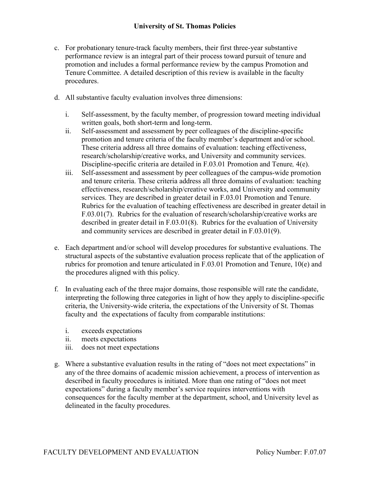- c. For probationary tenure-track faculty members, their first three-year substantive performance review is an integral part of their process toward pursuit of tenure and promotion and includes a formal performance review by the campus Promotion and Tenure Committee. A detailed description of this review is available in the faculty procedures.
- d. All substantive faculty evaluation involves three dimensions:
	- i. Self-assessment, by the faculty member, of progression toward meeting individual written goals, both short-term and long-term.
	- ii. Self-assessment and assessment by peer colleagues of the discipline-specific promotion and tenure criteria of the faculty member's department and/or school. These criteria address all three domains of evaluation: teaching effectiveness, research/scholarship/creative works, and University and community services. Discipline-specific criteria are detailed in F.03.01 Promotion and Tenure*,* 4(e).
	- iii. Self-assessment and assessment by peer colleagues of the campus-wide promotion and tenure criteria. These criteria address all three domains of evaluation: teaching effectiveness, research/scholarship/creative works, and University and community services. They are described in greater detail in F.03.01 Promotion and Tenure. Rubrics for the evaluation of teaching effectiveness are described in greater detail in F.03.01(7). Rubrics for the evaluation of research/scholarship/creative works are described in greater detail in F.03.01(8). Rubrics for the evaluation of University and community services are described in greater detail in F.03.01(9).
- e. Each department and/or school will develop procedures for substantive evaluations. The structural aspects of the substantive evaluation process replicate that of the application of rubrics for promotion and tenure articulated in F.03.01 Promotion and Tenure, 10(e) and the procedures aligned with this policy.
- f. In evaluating each of the three major domains, those responsible will rate the candidate, interpreting the following three categories in light of how they apply to discipline-specific criteria, the University-wide criteria, the expectations of the University of St. Thomas faculty and the expectations of faculty from comparable institutions:
	- i. exceeds expectations
	- ii. meets expectations
	- iii. does not meet expectations
- g. Where a substantive evaluation results in the rating of "does not meet expectations" in any of the three domains of academic mission achievement, a process of intervention as described in faculty procedures is initiated. More than one rating of "does not meet expectations" during a faculty member's service requires interventions with consequences for the faculty member at the department, school, and University level as delineated in the faculty procedures.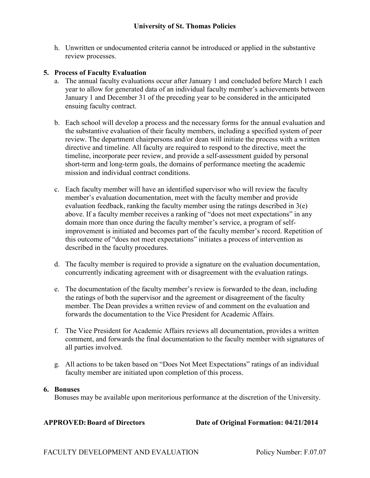h. Unwritten or undocumented criteria cannot be introduced or applied in the substantive review processes.

#### **5. Process of Faculty Evaluation**

- a. The annual faculty evaluations occur after January 1 and concluded before March 1 each year to allow for generated data of an individual faculty member's achievements between January 1 and December 31 of the preceding year to be considered in the anticipated ensuing faculty contract.
- b. Each school will develop a process and the necessary forms for the annual evaluation and the substantive evaluation of their faculty members, including a specified system of peer review. The department chairpersons and/or dean will initiate the process with a written directive and timeline. All faculty are required to respond to the directive, meet the timeline, incorporate peer review, and provide a self-assessment guided by personal short-term and long-term goals, the domains of performance meeting the academic mission and individual contract conditions.
- c. Each faculty member will have an identified supervisor who will review the faculty member's evaluation documentation, meet with the faculty member and provide evaluation feedback, ranking the faculty member using the ratings described in 3(e) above. If a faculty member receives a ranking of "does not meet expectations" in any domain more than once during the faculty member's service, a program of selfimprovement is initiated and becomes part of the faculty member's record. Repetition of this outcome of "does not meet expectations" initiates a process of intervention as described in the faculty procedures.
- d. The faculty member is required to provide a signature on the evaluation documentation, concurrently indicating agreement with or disagreement with the evaluation ratings.
- e. The documentation of the faculty member's review is forwarded to the dean, including the ratings of both the supervisor and the agreement or disagreement of the faculty member. The Dean provides a written review of and comment on the evaluation and forwards the documentation to the Vice President for Academic Affairs.
- f. The Vice President for Academic Affairs reviews all documentation, provides a written comment, and forwards the final documentation to the faculty member with signatures of all parties involved.
- g. All actions to be taken based on "Does Not Meet Expectations" ratings of an individual faculty member are initiated upon completion of this process.

#### **6. Bonuses**

Bonuses may be available upon meritorious performance at the discretion of the University.

**APPROVED:Board of Directors Date of Original Formation: 04/21/2014**